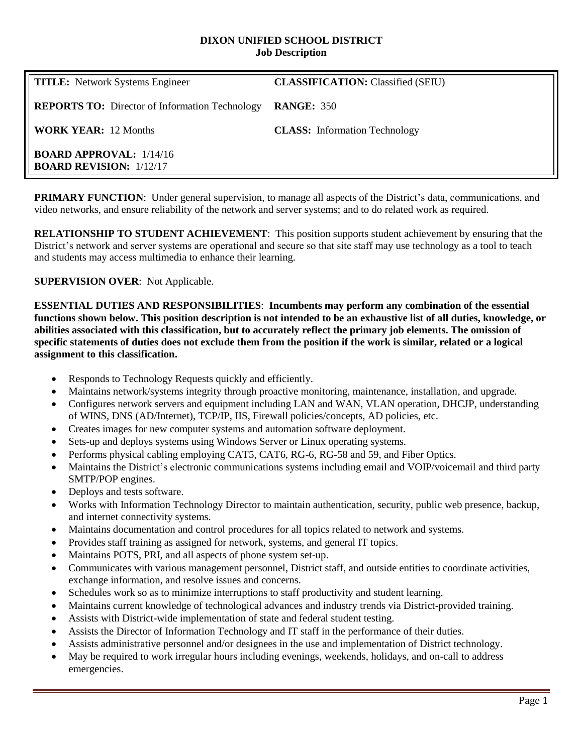#### **DIXON UNIFIED SCHOOL DISTRICT Job Description**

| <b>TITLE:</b> Network Systems Engineer                           | <b>CLASSIFICATION:</b> Classified (SEIU) |
|------------------------------------------------------------------|------------------------------------------|
| <b>REPORTS TO:</b> Director of Information Technology            | <b>RANGE: 350</b>                        |
| <b>WORK YEAR:</b> 12 Months                                      | <b>CLASS:</b> Information Technology     |
| <b>BOARD APPROVAL: 1/14/16</b><br><b>BOARD REVISION: 1/12/17</b> |                                          |

**PRIMARY FUNCTION:** Under general supervision, to manage all aspects of the District's data, communications, and video networks, and ensure reliability of the network and server systems; and to do related work as required.

**RELATIONSHIP TO STUDENT ACHIEVEMENT**: This position supports student achievement by ensuring that the District's network and server systems are operational and secure so that site staff may use technology as a tool to teach and students may access multimedia to enhance their learning.

**SUPERVISION OVER**: Not Applicable.

**ESSENTIAL DUTIES AND RESPONSIBILITIES**: **Incumbents may perform any combination of the essential functions shown below. This position description is not intended to be an exhaustive list of all duties, knowledge, or abilities associated with this classification, but to accurately reflect the primary job elements. The omission of specific statements of duties does not exclude them from the position if the work is similar, related or a logical assignment to this classification.**

- Responds to Technology Requests quickly and efficiently.
- Maintains network/systems integrity through proactive monitoring, maintenance, installation, and upgrade.
- Configures network servers and equipment including LAN and WAN, VLAN operation, DHCJP, understanding of WINS, DNS (AD/Internet), TCP/IP, IIS, Firewall policies/concepts, AD policies, etc.
- Creates images for new computer systems and automation software deployment.
- Sets-up and deploys systems using Windows Server or Linux operating systems.
- Performs physical cabling employing CAT5, CAT6, RG-6, RG-58 and 59, and Fiber Optics.
- Maintains the District's electronic communications systems including email and VOIP/voicemail and third party SMTP/POP engines.
- Deploys and tests software.
- Works with Information Technology Director to maintain authentication, security, public web presence, backup, and internet connectivity systems.
- Maintains documentation and control procedures for all topics related to network and systems.
- Provides staff training as assigned for network, systems, and general IT topics.
- Maintains POTS, PRI, and all aspects of phone system set-up.
- Communicates with various management personnel, District staff, and outside entities to coordinate activities, exchange information, and resolve issues and concerns.
- Schedules work so as to minimize interruptions to staff productivity and student learning.
- Maintains current knowledge of technological advances and industry trends via District-provided training.
- Assists with District-wide implementation of state and federal student testing.
- Assists the Director of Information Technology and IT staff in the performance of their duties.
- Assists administrative personnel and/or designees in the use and implementation of District technology.
- May be required to work irregular hours including evenings, weekends, holidays, and on-call to address emergencies.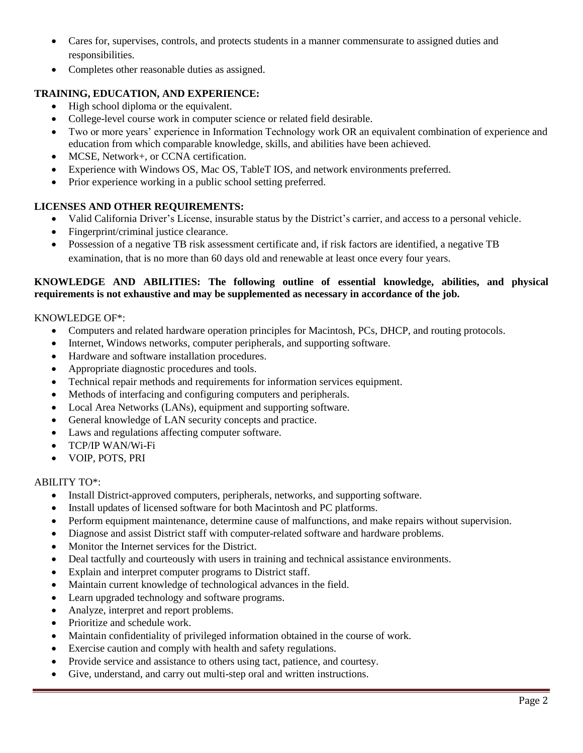- Cares for, supervises, controls, and protects students in a manner commensurate to assigned duties and responsibilities.
- Completes other reasonable duties as assigned.

# **TRAINING, EDUCATION, AND EXPERIENCE:**

- High school diploma or the equivalent.
- College-level course work in computer science or related field desirable.
- Two or more years' experience in Information Technology work OR an equivalent combination of experience and education from which comparable knowledge, skills, and abilities have been achieved.
- MCSE, Network+, or CCNA certification.
- Experience with Windows OS, Mac OS, TableT IOS, and network environments preferred.
- Prior experience working in a public school setting preferred.

# **LICENSES AND OTHER REQUIREMENTS:**

- Valid California Driver's License, insurable status by the District's carrier, and access to a personal vehicle.
- Fingerprint/criminal justice clearance.
- Possession of a negative TB risk assessment certificate and, if risk factors are identified, a negative TB examination, that is no more than 60 days old and renewable at least once every four years.

#### **KNOWLEDGE AND ABILITIES: The following outline of essential knowledge, abilities, and physical requirements is not exhaustive and may be supplemented as necessary in accordance of the job.**

## KNOWLEDGE OF\*:

- Computers and related hardware operation principles for Macintosh, PCs, DHCP, and routing protocols.
- Internet, Windows networks, computer peripherals, and supporting software.
- Hardware and software installation procedures.
- Appropriate diagnostic procedures and tools.
- Technical repair methods and requirements for information services equipment.
- Methods of interfacing and configuring computers and peripherals.
- Local Area Networks (LANs), equipment and supporting software.
- General knowledge of LAN security concepts and practice.
- Laws and regulations affecting computer software.
- TCP/IP WAN/Wi-Fi
- VOIP, POTS, PRI

## ABILITY TO\*:

- Install District-approved computers, peripherals, networks, and supporting software.
- Install updates of licensed software for both Macintosh and PC platforms.
- Perform equipment maintenance, determine cause of malfunctions, and make repairs without supervision.
- Diagnose and assist District staff with computer-related software and hardware problems.
- Monitor the Internet services for the District.
- Deal tactfully and courteously with users in training and technical assistance environments.
- Explain and interpret computer programs to District staff.
- Maintain current knowledge of technological advances in the field.
- Learn upgraded technology and software programs.
- Analyze, interpret and report problems.
- Prioritize and schedule work.
- Maintain confidentiality of privileged information obtained in the course of work.
- Exercise caution and comply with health and safety regulations.
- Provide service and assistance to others using tact, patience, and courtesy.
- Give, understand, and carry out multi-step oral and written instructions.